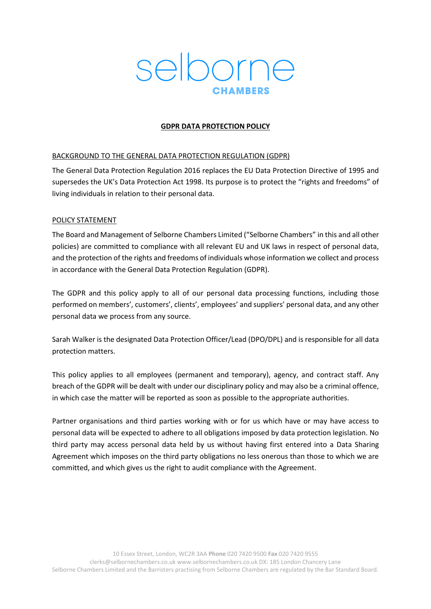

## **GDPR DATA PROTECTION POLICY**

## BACKGROUND TO THE GENERAL DATA PROTECTION REGULATION (GDPR)

The General Data Protection Regulation 2016 replaces the EU Data Protection Directive of 1995 and supersedes the UK's Data Protection Act 1998. Its purpose is to protect the "rights and freedoms" of living individuals in relation to their personal data.

### POLICY STATEMENT

The Board and Management of Selborne Chambers Limited ("Selborne Chambers" in this and all other policies) are committed to compliance with all relevant EU and UK laws in respect of personal data, and the protection of the rights and freedoms of individuals whose information we collect and process in accordance with the General Data Protection Regulation (GDPR).

The GDPR and this policy apply to all of our personal data processing functions, including those performed on members', customers', clients', employees' and suppliers' personal data, and any other personal data we process from any source.

Sarah Walker is the designated Data Protection Officer/Lead (DPO/DPL) and is responsible for all data protection matters.

This policy applies to all employees (permanent and temporary), agency, and contract staff. Any breach of the GDPR will be dealt with under our disciplinary policy and may also be a criminal offence, in which case the matter will be reported as soon as possible to the appropriate authorities.

Partner organisations and third parties working with or for us which have or may have access to personal data will be expected to adhere to all obligations imposed by data protection legislation. No third party may access personal data held by us without having first entered into a Data Sharing Agreement which imposes on the third party obligations no less onerous than those to which we are committed, and which gives us the right to audit compliance with the Agreement.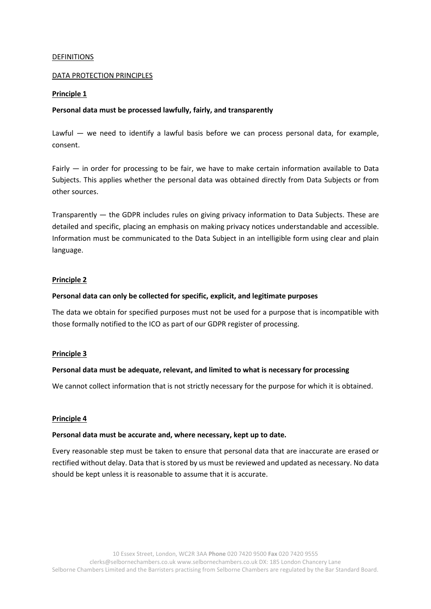#### DEFINITIONS

#### DATA PROTECTION PRINCIPLES

#### **Principle 1**

#### **Personal data must be processed lawfully, fairly, and transparently**

Lawful — we need to identify a lawful basis before we can process personal data, for example, consent.

Fairly — in order for processing to be fair, we have to make certain information available to Data Subjects. This applies whether the personal data was obtained directly from Data Subjects or from other sources.

Transparently — the GDPR includes rules on giving privacy information to Data Subjects. These are detailed and specific, placing an emphasis on making privacy notices understandable and accessible. Information must be communicated to the Data Subject in an intelligible form using clear and plain language.

#### **Principle 2**

#### **Personal data can only be collected for specific, explicit, and legitimate purposes**

The data we obtain for specified purposes must not be used for a purpose that is incompatible with those formally notified to the ICO as part of our GDPR register of processing.

#### **Principle 3**

#### **Personal data must be adequate, relevant, and limited to what is necessary for processing**

We cannot collect information that is not strictly necessary for the purpose for which it is obtained.

#### **Principle 4**

#### **Personal data must be accurate and, where necessary, kept up to date.**

Every reasonable step must be taken to ensure that personal data that are inaccurate are erased or rectified without delay. Data that is stored by us must be reviewed and updated as necessary. No data should be kept unless it is reasonable to assume that it is accurate.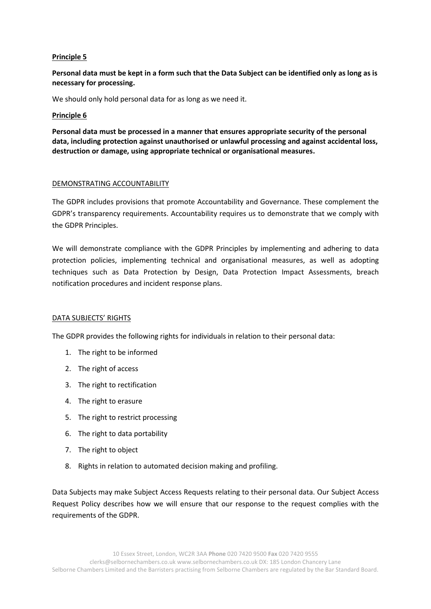### **Principle 5**

## **Personal data must be kept in a form such that the Data Subject can be identified only as long as is necessary for processing.**

We should only hold personal data for as long as we need it.

#### **Principle 6**

**Personal data must be processed in a manner that ensures appropriate security of the personal data, including protection against unauthorised or unlawful processing and against accidental loss, destruction or damage, using appropriate technical or organisational measures.**

#### DEMONSTRATING ACCOUNTABILITY

The GDPR includes provisions that promote Accountability and Governance. These complement the GDPR's transparency requirements. Accountability requires us to demonstrate that we comply with the GDPR Principles.

We will demonstrate compliance with the GDPR Principles by implementing and adhering to data protection policies, implementing technical and organisational measures, as well as adopting techniques such as Data Protection by Design, Data Protection Impact Assessments, breach notification procedures and incident response plans.

#### DATA SUBJECTS' RIGHTS

The GDPR provides the following rights for individuals in relation to their personal data:

- 1. The right to be informed
- 2. The right of access
- 3. The right to rectification
- 4. The right to erasure
- 5. The right to restrict processing
- 6. The right to data portability
- 7. The right to object
- 8. Rights in relation to automated decision making and profiling.

Data Subjects may make Subject Access Requests relating to their personal data. Our Subject Access Request Policy describes how we will ensure that our response to the request complies with the requirements of the GDPR.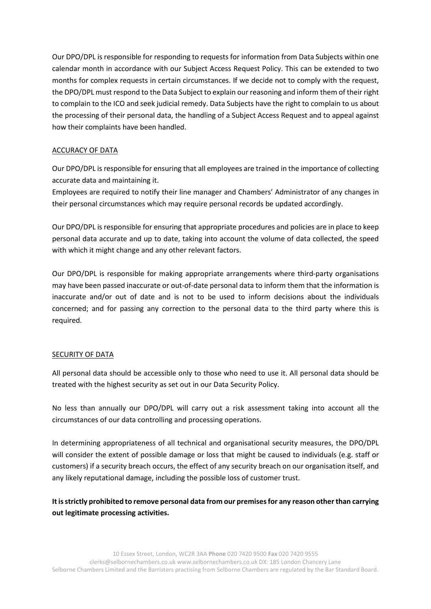Our DPO/DPL is responsible for responding to requests for information from Data Subjects within one calendar month in accordance with our Subject Access Request Policy. This can be extended to two months for complex requests in certain circumstances. If we decide not to comply with the request, the DPO/DPL must respond to the Data Subject to explain our reasoning and inform them of their right to complain to the ICO and seek judicial remedy. Data Subjects have the right to complain to us about the processing of their personal data, the handling of a Subject Access Request and to appeal against how their complaints have been handled.

## ACCURACY OF DATA

Our DPO/DPL is responsible for ensuring that all employees are trained in the importance of collecting accurate data and maintaining it.

Employees are required to notify their line manager and Chambers' Administrator of any changes in their personal circumstances which may require personal records be updated accordingly.

Our DPO/DPL is responsible for ensuring that appropriate procedures and policies are in place to keep personal data accurate and up to date, taking into account the volume of data collected, the speed with which it might change and any other relevant factors.

Our DPO/DPL is responsible for making appropriate arrangements where third-party organisations may have been passed inaccurate or out-of-date personal data to inform them that the information is inaccurate and/or out of date and is not to be used to inform decisions about the individuals concerned; and for passing any correction to the personal data to the third party where this is required.

## SECURITY OF DATA

All personal data should be accessible only to those who need to use it. All personal data should be treated with the highest security as set out in our Data Security Policy.

No less than annually our DPO/DPL will carry out a risk assessment taking into account all the circumstances of our data controlling and processing operations.

In determining appropriateness of all technical and organisational security measures, the DPO/DPL will consider the extent of possible damage or loss that might be caused to individuals (e.g. staff or customers) if a security breach occurs, the effect of any security breach on our organisation itself, and any likely reputational damage, including the possible loss of customer trust.

**Itisstrictly prohibited to remove personal data from our premisesfor any reason other than carrying out legitimate processing activities.**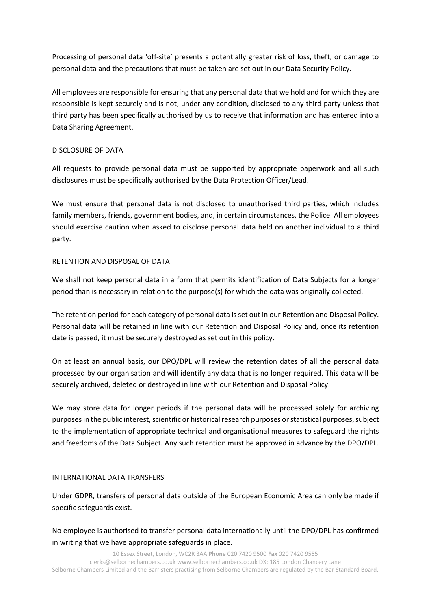Processing of personal data 'off-site' presents a potentially greater risk of loss, theft, or damage to personal data and the precautions that must be taken are set out in our Data Security Policy.

All employees are responsible for ensuring that any personal data that we hold and for which they are responsible is kept securely and is not, under any condition, disclosed to any third party unless that third party has been specifically authorised by us to receive that information and has entered into a Data Sharing Agreement.

## DISCLOSURE OF DATA

All requests to provide personal data must be supported by appropriate paperwork and all such disclosures must be specifically authorised by the Data Protection Officer/Lead.

We must ensure that personal data is not disclosed to unauthorised third parties, which includes family members, friends, government bodies, and, in certain circumstances, the Police. All employees should exercise caution when asked to disclose personal data held on another individual to a third party.

## RETENTION AND DISPOSAL OF DATA

We shall not keep personal data in a form that permits identification of Data Subjects for a longer period than is necessary in relation to the purpose(s) for which the data was originally collected.

The retention period for each category of personal data is set out in our Retention and Disposal Policy. Personal data will be retained in line with our Retention and Disposal Policy and, once its retention date is passed, it must be securely destroyed as set out in this policy.

On at least an annual basis, our DPO/DPL will review the retention dates of all the personal data processed by our organisation and will identify any data that is no longer required. This data will be securely archived, deleted or destroyed in line with our Retention and Disposal Policy.

We may store data for longer periods if the personal data will be processed solely for archiving purposes in the public interest, scientific or historical research purposes or statistical purposes, subject to the implementation of appropriate technical and organisational measures to safeguard the rights and freedoms of the Data Subject. Any such retention must be approved in advance by the DPO/DPL.

## INTERNATIONAL DATA TRANSFERS

Under GDPR, transfers of personal data outside of the European Economic Area can only be made if specific safeguards exist.

No employee is authorised to transfer personal data internationally until the DPO/DPL has confirmed in writing that we have appropriate safeguards in place.

10 Essex Street, London, WC2R 3AA **Phone** 020 7420 9500 **Fax** 020 7420 9555 clerks@selbornechambers.co.uk www.selbornechambers.co.uk DX: 185 London Chancery Lane Selborne Chambers Limited and the Barristers practising from Selborne Chambers are regulated by the Bar Standard Board.